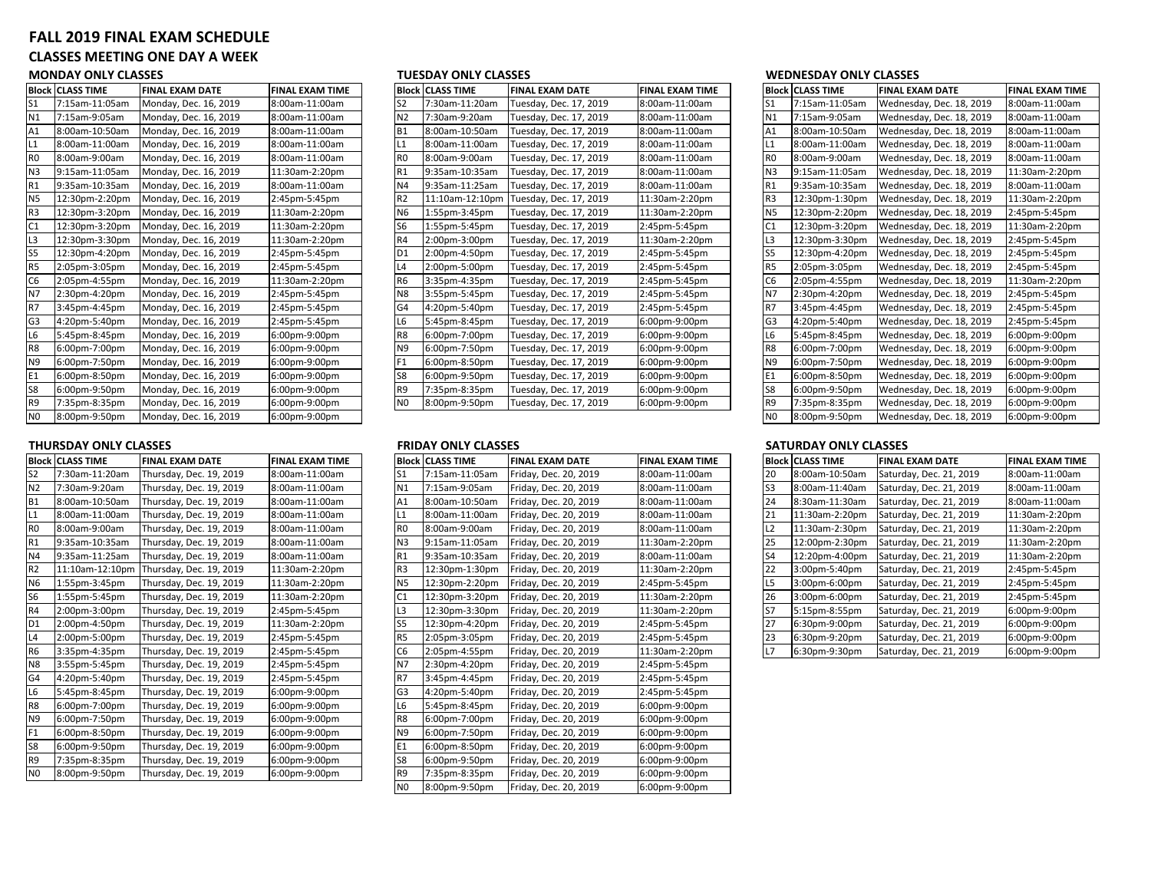# **FALL 2019 FINAL EXAM SCHEDULE**

# **CLASSES MEETING ONE DAY A WEEK**

### **MONDAY ONLY CLASSES**

| <b>Block</b>   | <b>CLASS TIME</b> | <b>FINAL EXAM DATE</b> | <b>FINAL EXAM TIME</b> |
|----------------|-------------------|------------------------|------------------------|
| S1             | 7:15am-11:05am    | Monday, Dec. 16, 2019  | 8:00am-11:00am         |
| N1             | 7:15am-9:05am     | Monday, Dec. 16, 2019  | 8:00am-11:00am         |
| A1             | 8:00am-10:50am    | Monday, Dec. 16, 2019  | 8:00am-11:00am         |
| L1             | 8:00am-11:00am    | Monday, Dec. 16, 2019  | 8:00am-11:00am         |
| R <sub>0</sub> | 8:00am-9:00am     | Monday, Dec. 16, 2019  | 8:00am-11:00am         |
| N <sub>3</sub> | 9:15am-11:05am    | Monday, Dec. 16, 2019  | 11:30am-2:20pm         |
| R1             | 9:35am-10:35am    | Monday, Dec. 16, 2019  | 8:00am-11:00am         |
| N <sub>5</sub> | 12:30pm-2:20pm    | Monday, Dec. 16, 2019  | 2:45pm-5:45pm          |
| R3             | 12:30pm-3:20pm    | Monday, Dec. 16, 2019  | 11:30am-2:20pm         |
| C1             | 12:30pm-3:20pm    | Monday, Dec. 16, 2019  | 11:30am-2:20pm         |
| L3             | 12:30pm-3:30pm    | Monday, Dec. 16, 2019  | 11:30am-2:20pm         |
| S5             | 12:30pm-4:20pm    | Monday, Dec. 16, 2019  | 2:45pm-5:45pm          |
| R <sub>5</sub> | 2:05pm-3:05pm     | Monday, Dec. 16, 2019  | 2:45pm-5:45pm          |
| C <sub>6</sub> | 2:05pm-4:55pm     | Monday, Dec. 16, 2019  | 11:30am-2:20pm         |
| N7             | 2:30pm-4:20pm     | Monday, Dec. 16, 2019  | 2:45pm-5:45pm          |
| R7             | 3:45pm-4:45pm     | Monday, Dec. 16, 2019  | 2:45pm-5:45pm          |
| G <sub>3</sub> | 4:20pm-5:40pm     | Monday, Dec. 16, 2019  | 2:45pm-5:45pm          |
| L6             | 5:45pm-8:45pm     | Monday, Dec. 16, 2019  | 6:00pm-9:00pm          |
| R8             | 6:00pm-7:00pm     | Monday, Dec. 16, 2019  | 6:00pm-9:00pm          |
| N9             | 6:00pm-7:50pm     | Monday, Dec. 16, 2019  | 6:00pm-9:00pm          |
| E1             | 6:00pm-8:50pm     | Monday, Dec. 16, 2019  | 6:00pm-9:00pm          |
| S8             | 6:00pm-9:50pm     | Monday, Dec. 16, 2019  | 6:00pm-9:00pm          |
| R9             | 7:35pm-8:35pm     | Monday, Dec. 16, 2019  | 6:00pm-9:00pm          |
| N <sub>0</sub> | 8:00pm-9:50pm     | Monday, Dec. 16, 2019  | $6:00$ pm-9:00pm       |

### **THURSDAY ONLY CLASSES**

|                | <b>Block CLASS TIME</b> | <b>FINAL EXAM DATE</b>  | <b>FINAL EXAM TIME</b> |                | <b>Block CLASS TIME</b> | <b>FINAL EXAM DATE</b> | <b>FINAL EXAM TII</b> |
|----------------|-------------------------|-------------------------|------------------------|----------------|-------------------------|------------------------|-----------------------|
| <b>S2</b>      | 7:30am-11:20am          | Thursday, Dec. 19, 2019 | 8:00am-11:00am         | S1             | 7:15am-11:05am          | Friday, Dec. 20, 2019  | 8:00am-11:00ar        |
| N <sub>2</sub> | 7:30am-9:20am           | Thursday, Dec. 19, 2019 | 8:00am-11:00am         | N1             | 7:15am-9:05am           | Friday, Dec. 20, 2019  | 8:00am-11:00ar        |
| <b>B1</b>      | 8:00am-10:50am          | Thursday, Dec. 19, 2019 | 8:00am-11:00am         | A1             | 8:00am-10:50am          | Friday, Dec. 20, 2019  | 8:00am-11:00ar        |
| L <sub>1</sub> | 8:00am-11:00am          | Thursday, Dec. 19, 2019 | 8:00am-11:00am         | L1             | 8:00am-11:00am          | Friday, Dec. 20, 2019  | 8:00am-11:00ar        |
| R <sub>0</sub> | 8:00am-9:00am           | Thursday, Dec. 19, 2019 | 8:00am-11:00am         | R <sub>0</sub> | 8:00am-9:00am           | Friday, Dec. 20, 2019  | 8:00am-11:00ar        |
| R1             | 9:35am-10:35am          | Thursday, Dec. 19, 2019 | 8:00am-11:00am         | N <sub>3</sub> | 9:15am-11:05am          | Friday, Dec. 20, 2019  | 11:30am-2:20pr        |
| N4             | 9:35am-11:25am          | Thursday, Dec. 19, 2019 | 8:00am-11:00am         | R1             | 9:35am-10:35am          | Friday, Dec. 20, 2019  | 8:00am-11:00ar        |
| R <sub>2</sub> | 11:10am-12:10pm         | Thursday, Dec. 19, 2019 | 11:30am-2:20pm         | R <sub>3</sub> | 12:30pm-1:30pm          | Friday, Dec. 20, 2019  | 11:30am-2:20pr        |
| N6             | 1:55pm-3:45pm           | Thursday, Dec. 19, 2019 | 11:30am-2:20pm         | <b>N5</b>      | 12:30pm-2:20pm          | Friday, Dec. 20, 2019  | 2:45pm-5:45pm         |
| S <sub>6</sub> | 1:55pm-5:45pm           | Thursday, Dec. 19, 2019 | 11:30am-2:20pm         | C <sub>1</sub> | 12:30pm-3:20pm          | Friday, Dec. 20, 2019  | 11:30am-2:20pr        |
| R4             | 2:00pm-3:00pm           | Thursday, Dec. 19, 2019 | 2:45pm-5:45pm          | L3             | 12:30pm-3:30pm          | Friday, Dec. 20, 2019  | 11:30am-2:20pr        |
| D <sub>1</sub> | 2:00pm-4:50pm           | Thursday, Dec. 19, 2019 | 11:30am-2:20pm         | S <sub>5</sub> | 12:30pm-4:20pm          | Friday, Dec. 20, 2019  | 2:45pm-5:45pm         |
| L4             | 2:00pm-5:00pm           | Thursday, Dec. 19, 2019 | 2:45pm-5:45pm          | R <sub>5</sub> | 2:05pm-3:05pm           | Friday, Dec. 20, 2019  | 2:45pm-5:45pm         |
| <b>R6</b>      | 3:35pm-4:35pm           | Thursday, Dec. 19, 2019 | 2:45pm-5:45pm          | C <sub>6</sub> | 2:05pm-4:55pm           | Friday, Dec. 20, 2019  | 11:30am-2:20pr        |
| N <sub>8</sub> | 3:55pm-5:45pm           | Thursday, Dec. 19, 2019 | 2:45pm-5:45pm          | N7             | 2:30pm-4:20pm           | Friday, Dec. 20, 2019  | 2:45pm-5:45pm         |
| G4             | 4:20pm-5:40pm           | Thursday, Dec. 19, 2019 | 2:45pm-5:45pm          | R7             | 3:45pm-4:45pm           | Friday, Dec. 20, 2019  | 2:45pm-5:45pm         |
| L <sub>6</sub> | 5:45pm-8:45pm           | Thursday, Dec. 19, 2019 | 6:00pm-9:00pm          | G <sub>3</sub> | 4:20pm-5:40pm           | Friday, Dec. 20, 2019  | 2:45pm-5:45pm         |
| R <sub>8</sub> | 6:00pm-7:00pm           | Thursday, Dec. 19, 2019 | 6:00pm-9:00pm          | L6             | 5:45pm-8:45pm           | Friday, Dec. 20, 2019  | 6:00pm-9:00pm         |
| N <sub>9</sub> | 6:00pm-7:50pm           | Thursday, Dec. 19, 2019 | 6:00pm-9:00pm          | R <sub>8</sub> | 6:00pm-7:00pm           | Friday, Dec. 20, 2019  | 6:00pm-9:00pm         |
| F <sub>1</sub> | 6:00pm-8:50pm           | Thursday, Dec. 19, 2019 | 6:00pm-9:00pm          | N9             | 6:00pm-7:50pm           | Friday, Dec. 20, 2019  | 6:00pm-9:00pm         |
| S8             | 6:00pm-9:50pm           | Thursday, Dec. 19, 2019 | 6:00pm-9:00pm          | E1             | 6:00pm-8:50pm           | Friday, Dec. 20, 2019  | 6:00pm-9:00pm         |
| R <sub>9</sub> | 7:35pm-8:35pm           | Thursday, Dec. 19, 2019 | 6:00pm-9:00pm          | S8             | 6:00pm-9:50pm           | Friday, Dec. 20, 2019  | 6:00pm-9:00pm         |
| N <sub>0</sub> | 8:00pm-9:50pm           | Thursday, Dec. 19, 2019 | 6:00pm-9:00pm          | R <sub>9</sub> | 7:35pm-8:35pm           | Friday, Dec. 20, 2019  | 6:00pm-9:00pm         |

|                | Block CLASS TIME | <b>FINAL EXAM DATE</b> | <b>FINAL EXAM TIME</b> |                | <b>Block CLASS TIME</b> | <b>FINAL EXAM DATE</b> | <b>FINAL EXAM TIME</b> |                 | <b>Block CLASS TIME</b> | <b>FINAL EXAM DATE</b>   | <b>FINAL EXAM TIME</b> |
|----------------|------------------|------------------------|------------------------|----------------|-------------------------|------------------------|------------------------|-----------------|-------------------------|--------------------------|------------------------|
| S1             | 7:15am-11:05am   | Monday, Dec. 16, 2019  | 8:00am-11:00am         | S <sub>2</sub> | 7:30am-11:20am          | Tuesday, Dec. 17, 2019 | 8:00am-11:00am         | IS1             | 7:15am-11:05am          | Wednesday, Dec. 18, 2019 | 8:00am-11:00am         |
| Ν1             | 7:15am-9:05am    | Monday, Dec. 16, 2019  | 8:00am-11:00am         | N <sub>2</sub> | 7:30am-9:20am           | Tuesday, Dec. 17, 2019 | 8:00am-11:00am         | <b>N1</b>       | 7:15am-9:05am           | Wednesday, Dec. 18, 2019 | 8:00am-11:00am         |
| Α1             | 8:00am-10:50am   | Monday, Dec. 16, 2019  | 8:00am-11:00am         | B <sub>1</sub> | 8:00am-10:50am          | Tuesday, Dec. 17, 2019 | 8:00am-11:00am         | A <sub>1</sub>  | 8:00am-10:50am          | Wednesday, Dec. 18, 2019 | 8:00am-11:00am         |
| L1             | 8:00am-11:00am   | Monday, Dec. 16, 2019  | 8:00am-11:00am         | L1             | 8:00am-11:00am          | Tuesday, Dec. 17, 2019 | 8:00am-11:00am         |                 | 8:00am-11:00am          | Wednesday, Dec. 18, 2019 | 8:00am-11:00am         |
| R0             | 8:00am-9:00am    | Monday, Dec. 16, 2019  | 8:00am-11:00am         | R <sub>0</sub> | 8:00am-9:00am           | Tuesday, Dec. 17, 2019 | 8:00am-11:00am         | I <sub>R0</sub> | 8:00am-9:00am           | Wednesday, Dec. 18, 2019 | 8:00am-11:00am         |
| N3             | 9:15am-11:05am   | Monday, Dec. 16, 2019  | 11:30am-2:20pm         | R1             | 9:35am-10:35am          | Tuesday, Dec. 17, 2019 | 8:00am-11:00am         | N <sub>3</sub>  | 9:15am-11:05am          | Wednesday, Dec. 18, 2019 | 11:30am-2:20pm         |
|                | 9:35am-10:35am   | Monday, Dec. 16, 2019  | 8:00am-11:00am         | N4             | 9:35am-11:25am          | Tuesday, Dec. 17, 2019 | 8:00am-11:00am         | IR <sub>1</sub> | 9:35am-10:35am          | Wednesday, Dec. 18, 2019 | 8:00am-11:00am         |
| N5             | 12:30pm-2:20pm   | Monday, Dec. 16, 2019  | 2:45pm-5:45pm          | R <sub>2</sub> | 11:10am-12:10pm         | Tuesday, Dec. 17, 2019 | 11:30am-2:20pm         | IR <sub>3</sub> | 12:30pm-1:30pm          | Wednesday, Dec. 18, 2019 | 11:30am-2:20pm         |
| R3             | 12:30pm-3:20pm   | Monday, Dec. 16, 2019  | 11:30am-2:20pm         | <b>N6</b>      | 1:55pm-3:45pm           | Tuesday, Dec. 17, 2019 | 11:30am-2:20pm         | IN <sub>5</sub> | 12:30pm-2:20pm          | Wednesday, Dec. 18, 2019 | 2:45pm-5:45pm          |
| C <sub>1</sub> | 12:30pm-3:20pm   | Monday, Dec. 16, 2019  | 11:30am-2:20pm         | S <sub>6</sub> | 1:55pm-5:45pm           | Tuesday, Dec. 17, 2019 | 2:45pm-5:45pm          |                 | 12:30pm-3:20pm          | Wednesday, Dec. 18, 2019 | 11:30am-2:20pm         |
|                | 12:30pm-3:30pm   | Monday, Dec. 16, 2019  | 11:30am-2:20pm         | <b>R4</b>      | 2:00pm-3:00pm           | Tuesday, Dec. 17, 2019 | 11:30am-2:20pm         | L <sub>3</sub>  | 12:30pm-3:30pm          | Wednesday, Dec. 18, 2019 | 2:45pm-5:45pm          |
|                | 12:30pm-4:20pm   | Monday, Dec. 16, 2019  | 2:45pm-5:45pm          | D <sub>1</sub> | 2:00pm-4:50pm           | Tuesday, Dec. 17, 2019 | 2:45pm-5:45pm          | IS <sub>5</sub> | 12:30pm-4:20pm          | Wednesday, Dec. 18, 2019 | 2:45pm-5:45pm          |
| R5             | 2:05pm-3:05pm    | Monday, Dec. 16, 2019  | 2:45pm-5:45pm          | L4             | 2:00pm-5:00pm           | Tuesday, Dec. 17, 2019 | 2:45pm-5:45pm          | IR <sub>5</sub> | 2:05pm-3:05pm           | Wednesday, Dec. 18, 2019 | 2:45pm-5:45pm          |
| C6             | 2:05pm-4:55pm    | Monday, Dec. 16, 2019  | 11:30am-2:20pm         | R <sub>6</sub> | 3:35pm-4:35pm           | Tuesday, Dec. 17, 2019 | 2:45pm-5:45pm          | C <sub>6</sub>  | 2:05pm-4:55pm           | Wednesday, Dec. 18, 2019 | 11:30am-2:20pm         |
| Ν7             | 2:30pm-4:20pm    | Monday, Dec. 16, 2019  | 2:45pm-5:45pm          | N <sub>8</sub> | 3:55pm-5:45pm           | Tuesday, Dec. 17, 2019 | 2:45pm-5:45pm          | IN <sub>7</sub> | 2:30pm-4:20pm           | Wednesday, Dec. 18, 2019 | 2:45pm-5:45pm          |
| R7             | 3:45pm-4:45pm    | Monday, Dec. 16, 2019  | 2:45pm-5:45pm          | G <sub>4</sub> | 4:20pm-5:40pm           | Tuesday, Dec. 17, 2019 | 2:45pm-5:45pm          | IR <sub>7</sub> | 3:45pm-4:45pm           | Wednesday, Dec. 18, 2019 | 2:45pm-5:45pm          |
| G3             | 4:20pm-5:40pm    | Monday, Dec. 16, 2019  | 2:45pm-5:45pm          | L <sub>6</sub> | 5:45pm-8:45pm           | Tuesday, Dec. 17, 2019 | 6:00pm-9:00pm          | G <sub>3</sub>  | 4:20pm-5:40pm           | Wednesday, Dec. 18, 2019 | 2:45pm-5:45pm          |
| L6             | 5:45pm-8:45pm    | Monday, Dec. 16, 2019  | 6:00pm-9:00pm          | R <sub>8</sub> | 6:00pm-7:00pm           | Tuesday, Dec. 17, 2019 | 6:00pm-9:00pm          | L <sub>6</sub>  | 5:45pm-8:45pm           | Wednesday, Dec. 18, 2019 | 6:00pm-9:00pm          |
| R8             | 6:00pm-7:00pm    | Monday, Dec. 16, 2019  | 6:00pm-9:00pm          | N <sub>9</sub> | 6:00pm-7:50pm           | Tuesday, Dec. 17, 2019 | 6:00pm-9:00pm          | R <sub>8</sub>  | 6:00pm-7:00pm           | Wednesday, Dec. 18, 2019 | 6:00pm-9:00pm          |
| N9             | 6:00pm-7:50pm    | Monday, Dec. 16, 2019  | 6:00pm-9:00pm          | F <sub>1</sub> | 6:00pm-8:50pm           | Tuesday, Dec. 17, 2019 | 6:00pm-9:00pm          | N <sub>9</sub>  | 6:00pm-7:50pm           | Wednesday, Dec. 18, 2019 | 6:00pm-9:00pm          |
|                | 6:00pm-8:50pm    | Monday, Dec. 16, 2019  | 6:00pm-9:00pm          | S <sub>8</sub> | 6:00pm-9:50pm           | Tuesday, Dec. 17, 2019 | 6:00pm-9:00pm          | IE <sub>1</sub> | 6:00pm-8:50pm           | Wednesday, Dec. 18, 2019 | 6:00pm-9:00pm          |
|                | 6:00pm-9:50pm    | Monday, Dec. 16, 2019  | 6:00pm-9:00pm          | R <sub>9</sub> | 7:35pm-8:35pm           | Tuesday, Dec. 17, 2019 | 6:00pm-9:00pm          | S8              | 6:00pm-9:50pm           | Wednesday, Dec. 18, 2019 | 6:00pm-9:00pm          |
| R9             | 7:35pm-8:35pm    | Monday, Dec. 16, 2019  | 6:00pm-9:00pm          | N <sub>0</sub> | 8:00pm-9:50pm           | Tuesday, Dec. 17, 2019 | 6:00pm-9:00pm          | R <sub>9</sub>  | 7:35pm-8:35pm           | Wednesday, Dec. 18, 2019 | 6:00pm-9:00pm          |
|                |                  |                        |                        |                |                         |                        |                        |                 |                         |                          |                        |

|                | Block  CLASS TIME | <b>FINAL EXAM DATE</b>  | <b>FINAL EXAM TIME</b> |                | <b>Block CLASS TIME</b> | <b>FINAL EXAM DATE</b> | <b>FINAL EXAM TIME</b> |                 | <b>Block CLASS TIME</b> | <b>FINAL EXAM DATE</b>  | <b>FINAL EXAM TIME</b> |
|----------------|-------------------|-------------------------|------------------------|----------------|-------------------------|------------------------|------------------------|-----------------|-------------------------|-------------------------|------------------------|
| S2             | 7:30am-11:20am    | Thursday, Dec. 19, 2019 | 8:00am-11:00am         | S1             | 7:15am-11:05am          | Friday, Dec. 20, 2019  | 8:00am-11:00am         | 20              | 8:00am-10:50am          | Saturday, Dec. 21, 2019 | 8:00am-11:00am         |
| N2             | 7:30am-9:20am     | Thursday, Dec. 19, 2019 | 8:00am-11:00am         | N1             | 7:15am-9:05am           | Friday, Dec. 20, 2019  | 8:00am-11:00am         | IS <sub>3</sub> | 8:00am-11:40am          | Saturday, Dec. 21, 2019 | 8:00am-11:00am         |
| Β1             | 8:00am-10:50am    | Thursday, Dec. 19, 2019 | 8:00am-11:00am         | A <sub>1</sub> | 8:00am-10:50am          | Friday, Dec. 20, 2019  | 8:00am-11:00am         | 24              | 8:30am-11:30am          | Saturday, Dec. 21, 2019 | 8:00am-11:00am         |
| L1             | 8:00am-11:00am    | Thursday, Dec. 19, 2019 | 8:00am-11:00am         | L1             | 8:00am-11:00am          | Friday, Dec. 20, 2019  | 8:00am-11:00am         | 121             | 11:30am-2:20pm          | Saturday, Dec. 21, 2019 | 11:30am-2:20pm         |
| R0             | 8:00am-9:00am     | Thursday, Dec. 19, 2019 | 8:00am-11:00am         | R <sub>0</sub> | 8:00am-9:00am           | Friday, Dec. 20, 2019  | 8:00am-11:00am         | L2              | 11:30am-2:30pm          | Saturday, Dec. 21, 2019 | 11:30am-2:20pm         |
| R1             | 9:35am-10:35am    | Thursday, Dec. 19, 2019 | 8:00am-11:00am         | N <sub>3</sub> | 9:15am-11:05am          | Friday, Dec. 20, 2019  | 11:30am-2:20pm         | 25              | 12:00pm-2:30pm          | Saturday, Dec. 21, 2019 | 11:30am-2:20pm         |
| N4             | 9:35am-11:25am    | Thursday, Dec. 19, 2019 | 8:00am-11:00am         | R1             | 9:35am-10:35am          | Friday, Dec. 20, 2019  | 8:00am-11:00am         | S <sub>4</sub>  | 12:20pm-4:00pm          | Saturday, Dec. 21, 2019 | 11:30am-2:20pm         |
| R <sub>2</sub> | 11:10am-12:10pm   | Thursday, Dec. 19, 2019 | 11:30am-2:20pm         | R <sub>3</sub> | 12:30pm-1:30pm          | Friday, Dec. 20, 2019  | 11:30am-2:20pm         | 22              | 3:00pm-5:40pm           | Saturday, Dec. 21, 2019 | 2:45pm-5:45pm          |
| N6             | 1:55pm-3:45pm     | Thursday, Dec. 19, 2019 | 11:30am-2:20pm         | N <sub>5</sub> | 12:30pm-2:20pm          | Friday, Dec. 20, 2019  | 2:45pm-5:45pm          | IL5             | 3:00pm-6:00pm           | Saturday, Dec. 21, 2019 | 2:45pm-5:45pm          |
| S6             | 1:55pm-5:45pm     | Thursday, Dec. 19, 2019 | 11:30am-2:20pm         | C <sub>1</sub> | 12:30pm-3:20pm          | Friday, Dec. 20, 2019  | 11:30am-2:20pm         | 26              | 3:00pm-6:00pm           | Saturday, Dec. 21, 2019 | 2:45pm-5:45pm          |
| R4             | 2:00pm-3:00pm     | Thursday, Dec. 19, 2019 | 2:45pm-5:45pm          | L <sub>3</sub> | 12:30pm-3:30pm          | Friday, Dec. 20, 2019  | 11:30am-2:20pm         | S7              | 5:15pm-8:55pm           | Saturday, Dec. 21, 2019 | 6:00pm-9:00pm          |
| D1             | 2:00pm-4:50pm     | Thursday, Dec. 19, 2019 | 11:30am-2:20pm         | S <sub>5</sub> | 12:30pm-4:20pm          | Friday, Dec. 20, 2019  | 2:45pm-5:45pm          | 27              | 6:30pm-9:00pm           | Saturday, Dec. 21, 2019 | 6:00pm-9:00pm          |
| L4             | 2:00pm-5:00pm     | Thursday, Dec. 19, 2019 | 2:45pm-5:45pm          | R <sub>5</sub> | 2:05pm-3:05pm           | Friday, Dec. 20, 2019  | 2:45pm-5:45pm          | 23              | 6:30pm-9:20pm           | Saturday, Dec. 21, 2019 | 6:00pm-9:00pm          |
| R6             | 3:35pm-4:35pm     | Thursday, Dec. 19, 2019 | 2:45pm-5:45pm          | C <sub>6</sub> | 2:05pm-4:55pm           | Friday, Dec. 20, 2019  | 11:30am-2:20pm         | IL7             | 6:30pm-9:30pm           | Saturday, Dec. 21, 2019 | 6:00pm-9:00pm          |
| N8             | 3:55pm-5:45pm     | Thursday, Dec. 19, 2019 | 2:45pm-5:45pm          | N7             | 2:30pm-4:20pm           | Friday, Dec. 20, 2019  | 2:45pm-5:45pm          |                 |                         |                         |                        |
| G4             | 4:20pm-5:40pm     | Thursday, Dec. 19, 2019 | 2:45pm-5:45pm          | R7             | 3:45pm-4:45pm           | Friday, Dec. 20, 2019  | 2:45pm-5:45pm          |                 |                         |                         |                        |
| L6             | 5:45pm-8:45pm     | Thursday, Dec. 19, 2019 | 6:00pm-9:00pm          | G <sub>3</sub> | 4:20pm-5:40pm           | Friday, Dec. 20, 2019  | 2:45pm-5:45pm          |                 |                         |                         |                        |
| R8             | 6:00pm-7:00pm     | Thursday, Dec. 19, 2019 | 6:00pm-9:00pm          | L6             | 5:45pm-8:45pm           | Friday, Dec. 20, 2019  | 6:00pm-9:00pm          |                 |                         |                         |                        |
| N9             | 6:00pm-7:50pm     | Thursday, Dec. 19, 2019 | 6:00pm-9:00pm          | R8             | 6:00pm-7:00pm           | Friday, Dec. 20, 2019  | 6:00pm-9:00pm          |                 |                         |                         |                        |
|                | 6:00pm-8:50pm     | Thursday, Dec. 19, 2019 | 6:00pm-9:00pm          | N <sub>9</sub> | 6:00pm-7:50pm           | Friday, Dec. 20, 2019  | 6:00pm-9:00pm          |                 |                         |                         |                        |
| S8             | 6:00pm-9:50pm     | Thursday, Dec. 19, 2019 | 6:00pm-9:00pm          | E <sub>1</sub> | 6:00pm-8:50pm           | Friday, Dec. 20, 2019  | 6:00pm-9:00pm          |                 |                         |                         |                        |
| R9             | 7:35pm-8:35pm     | Thursday, Dec. 19, 2019 | 6:00pm-9:00pm          | S8             | 6:00pm-9:50pm           | Friday, Dec. 20, 2019  | 6:00pm-9:00pm          |                 |                         |                         |                        |
| N0             | 8:00pm-9:50pm     | Thursday, Dec. 19, 2019 | 6:00pm-9:00pm          | R <sub>9</sub> | 7:35pm-8:35pm           | Friday, Dec. 20, 2019  | 6:00pm-9:00pm          |                 |                         |                         |                        |
|                |                   |                         |                        | N <sub>0</sub> | 8:00pm-9:50pm           | Friday, Dec. 20, 2019  | 6:00pm-9:00pm          |                 |                         |                         |                        |
|                |                   |                         |                        |                |                         |                        |                        |                 |                         |                         |                        |

### **TUESDAY ONLY CLASSES WEDNESDAY ONLY CLASSES**

|    | .                |                        |                        |                |                         |                        |                        |                 |                         |                          |                        |
|----|------------------|------------------------|------------------------|----------------|-------------------------|------------------------|------------------------|-----------------|-------------------------|--------------------------|------------------------|
|    | Block CLASS TIME | <b>FINAL EXAM DATE</b> | <b>FINAL EXAM TIME</b> |                | <b>Block CLASS TIME</b> | <b>FINAL EXAM DATE</b> | <b>FINAL EXAM TIME</b> |                 | <b>Block CLASS TIME</b> | <b>FINAL EXAM DATE</b>   | <b>FINAL EXAM TIME</b> |
| S1 | 7:15am-11:05am   | Monday, Dec. 16, 2019  | 8:00am-11:00am         | lS2            | 7:30am-11:20am          | Tuesday, Dec. 17, 2019 | 8:00am-11:00am         |                 | 7:15am-11:05am          | Wednesday, Dec. 18, 2019 | 8:00am-11:00am         |
| Ν1 | 7:15am-9:05am    | Monday, Dec. 16, 2019  | 8:00am-11:00am         | N <sub>2</sub> | 7:30am-9:20am           | Tuesday, Dec. 17, 2019 | 8:00am-11:00am         | N <sub>1</sub>  | 7:15am-9:05am           | Wednesday, Dec. 18, 2019 | 8:00am-11:00am         |
| Α1 | 8:00am-10:50am   | Monday, Dec. 16, 2019  | 8:00am-11:00am         | IB1            | 8:00am-10:50am          | Tuesday, Dec. 17, 2019 | 8:00am-11:00am         |                 | 8:00am-10:50am          | Wednesday, Dec. 18, 2019 | 8:00am-11:00am         |
|    | 8:00am-11:00am   | Monday, Dec. 16, 2019  | 8:00am-11:00am         | IL1            | 8:00am-11:00am          | Tuesday, Dec. 17, 2019 | 8:00am-11:00am         |                 | 8:00am-11:00am          | Wednesday, Dec. 18, 2019 | 8:00am-11:00am         |
|    | 8:00am-9:00am    | Monday, Dec. 16, 2019  | 8:00am-11:00am         |                | 8:00am-9:00am           | Tuesday, Dec. 17, 2019 | 8:00am-11:00am         |                 | 8:00am-9:00am           | Wednesday, Dec. 18, 2019 | 8:00am-11:00am         |
|    | 9:15am-11:05am   | Monday, Dec. 16, 2019  | 11:30am-2:20pm         |                | 9:35am-10:35am          | Tuesday, Dec. 17, 2019 | 8:00am-11:00am         | N <sub>3</sub>  | 9:15am-11:05am          | Wednesday, Dec. 18, 2019 | 11:30am-2:20pm         |
|    | 9:35am-10:35am   | Monday, Dec. 16, 2019  | 8:00am-11:00am         | N <sub>4</sub> | 9:35am-11:25am          | Tuesday, Dec. 17, 2019 | 8:00am-11:00am         |                 | 9:35am-10:35am          | Wednesday, Dec. 18, 2019 | 8:00am-11:00am         |
| N5 | 12:30pm-2:20pm   | Monday, Dec. 16, 2019  | 2:45pm-5:45pm          |                | 11:10am-12:10pm         | Tuesday, Dec. 17, 2019 | 11:30am-2:20pm         |                 | 12:30pm-1:30pm          | Wednesday, Dec. 18, 2019 | 11:30am-2:20pm         |
|    | 12:30pm-3:20pm   | Monday, Dec. 16, 2019  | 11:30am-2:20pm         | N <sub>6</sub> | 1:55pm-3:45pm           | Tuesday, Dec. 17, 2019 | 11:30am-2:20pm         | N <sub>5</sub>  | 12:30pm-2:20pm          | Wednesday, Dec. 18, 2019 | 2:45pm-5:45pm          |
|    | 12:30pm-3:20pm   | Monday, Dec. 16, 2019  | 11:30am-2:20pm         | S6             | 1:55pm-5:45pm           | Tuesday, Dec. 17, 2019 | 2:45pm-5:45pm          |                 | 12:30pm-3:20pm          | Wednesday, Dec. 18, 2019 | 11:30am-2:20pm         |
| L3 | 12:30pm-3:30pm   | Monday, Dec. 16, 2019  | 11:30am-2:20pm         |                | 2:00pm-3:00pm           | Tuesday, Dec. 17, 2019 | 11:30am-2:20pm         |                 | 12:30pm-3:30pm          | Wednesday, Dec. 18, 2019 | 2:45pm-5:45pm          |
| S5 | 12:30pm-4:20pm   | Monday, Dec. 16, 2019  | 2:45pm-5:45pm          | D1             | 2:00pm-4:50pm           | Tuesday, Dec. 17, 2019 | 2:45pm-5:45pm          | S5              | 12:30pm-4:20pm          | Wednesday, Dec. 18, 2019 | 2:45pm-5:45pm          |
| R5 | 2:05pm-3:05pm    | Monday, Dec. 16, 2019  | 2:45pm-5:45pm          |                | 2:00pm-5:00pm           | Tuesday, Dec. 17, 2019 | 2:45pm-5:45pm          |                 | 2:05pm-3:05pm           | Wednesday, Dec. 18, 2019 | 2:45pm-5:45pm          |
|    | 2:05pm-4:55pm    | Monday, Dec. 16, 2019  | 11:30am-2:20pm         |                | 3:35pm-4:35pm           | Tuesday, Dec. 17, 2019 | 2:45pm-5:45pm          |                 | 2:05pm-4:55pm           | Wednesday, Dec. 18, 2019 | 11:30am-2:20pm         |
| Ν7 | 2:30pm-4:20pm    | Monday, Dec. 16, 2019  | 2:45pm-5:45pm          | N8             | 3:55pm-5:45pm           | Tuesday, Dec. 17, 2019 | 2:45pm-5:45pm          | IN <sub>7</sub> | 2:30pm-4:20pm           | Wednesday, Dec. 18, 2019 | 2:45pm-5:45pm          |
|    | 3:45pm-4:45pm    | Monday, Dec. 16, 2019  | 2:45pm-5:45pm          | G4             | 4:20pm-5:40pm           | Tuesday, Dec. 17, 2019 | 2:45pm-5:45pm          |                 | 3:45pm-4:45pm           | Wednesday, Dec. 18, 2019 | 2:45pm-5:45pm          |
| G3 | 4:20pm-5:40pm    | Monday, Dec. 16, 2019  | 2:45pm-5:45pm          | L6             | 5:45pm-8:45pm           | Tuesday, Dec. 17, 2019 | 6:00pm-9:00pm          | G <sub>3</sub>  | 4:20pm-5:40pm           | Wednesday, Dec. 18, 2019 | 2:45pm-5:45pm          |
|    | 5:45pm-8:45pm    | Monday, Dec. 16, 2019  | 6:00pm-9:00pm          | R <sub>8</sub> | 6:00pm-7:00pm           | Tuesday, Dec. 17, 2019 | 6:00pm-9:00pm          |                 | 5:45pm-8:45pm           | Wednesday, Dec. 18, 2019 | 6:00pm-9:00pm          |
|    | 6:00pm-7:00pm    | Monday, Dec. 16, 2019  | 6:00pm-9:00pm          | N <sub>9</sub> | 6:00pm-7:50pm           | Tuesday, Dec. 17, 2019 | 6:00pm-9:00pm          |                 | 6:00pm-7:00pm           | Wednesday, Dec. 18, 2019 | 6:00pm-9:00pm          |
| N9 | 6:00pm-7:50pm    | Monday, Dec. 16, 2019  | 6:00pm-9:00pm          |                | 6:00pm-8:50pm           | Tuesday, Dec. 17, 2019 | 6:00pm-9:00pm          | N <sub>9</sub>  | 6:00pm-7:50pm           | Wednesday, Dec. 18, 2019 | 6:00pm-9:00pm          |
| Ε1 | 6:00pm-8:50pm    | Monday, Dec. 16, 2019  | 6:00pm-9:00pm          | S8             | 6:00pm-9:50pm           | Tuesday, Dec. 17, 2019 | 6:00pm-9:00pm          |                 | 6:00pm-8:50pm           | Wednesday, Dec. 18, 2019 | 6:00pm-9:00pm          |
| S8 | 6:00pm-9:50pm    | Monday, Dec. 16, 2019  | 6:00pm-9:00pm          |                | 7:35pm-8:35pm           | Tuesday, Dec. 17, 2019 | 6:00pm-9:00pm          | S <sub>8</sub>  | 6:00pm-9:50pm           | Wednesday, Dec. 18, 2019 | 6:00pm-9:00pm          |
| R9 | 7:35pm-8:35pm    | Monday, Dec. 16, 2019  | 6:00pm-9:00pm          | N <sub>0</sub> | 8:00pm-9:50pm           | Tuesday, Dec. 17, 2019 | 6:00pm-9:00pm          |                 | 7:35pm-8:35pm           | Wednesday, Dec. 18, 2019 | 6:00pm-9:00pm          |
| N0 | 8:00pm-9:50pm    | Monday, Dec. 16, 2019  | 6:00pm-9:00pm          |                |                         |                        |                        | N <sub>0</sub>  | 8:00pm-9:50pm           | Wednesday, Dec. 18, 2019 | 6:00pm-9:00pm          |

### **FRIDAY ONLY CLASSES SATURDAY ONLY CLASSES**

| <b>Block</b>   | <b>CLASS TIME</b> | <b>FINAL EXAM DATE</b>  | <b>FINAL EXAM TIME</b> |
|----------------|-------------------|-------------------------|------------------------|
| 20             | 8:00am-10:50am    | Saturday, Dec. 21, 2019 | 8:00am-11:00am         |
| S <sub>3</sub> | 8:00am-11:40am    | Saturday, Dec. 21, 2019 | 8:00am-11:00am         |
| 24             | 8:30am-11:30am    | Saturday, Dec. 21, 2019 | 8:00am-11:00am         |
| 21             | 11:30am-2:20pm    | Saturday, Dec. 21, 2019 | 11:30am-2:20pm         |
| L2             | 11:30am-2:30pm    | Saturday, Dec. 21, 2019 | 11:30am-2:20pm         |
| 25             | 12:00pm-2:30pm    | Saturday, Dec. 21, 2019 | 11:30am-2:20pm         |
| S4             | 12:20pm-4:00pm    | Saturday, Dec. 21, 2019 | 11:30am-2:20pm         |
| 22             | 3:00pm-5:40pm     | Saturday, Dec. 21, 2019 | 2:45pm-5:45pm          |
| L <sub>5</sub> | 3:00pm-6:00pm     | Saturday, Dec. 21, 2019 | 2:45pm-5:45pm          |
| 26             | 3:00pm-6:00pm     | Saturday, Dec. 21, 2019 | 2:45pm-5:45pm          |
| <b>S7</b>      | 5:15pm-8:55pm     | Saturday, Dec. 21, 2019 | 6:00pm-9:00pm          |
| 27             | 6:30pm-9:00pm     | Saturday, Dec. 21, 2019 | 6:00pm-9:00pm          |
| 23             | 6:30pm-9:20pm     | Saturday, Dec. 21, 2019 | 6:00pm-9:00pm          |
| L7             | 6:30pm-9:30pm     | Saturday, Dec. 21, 2019 | 6:00pm-9:00pm          |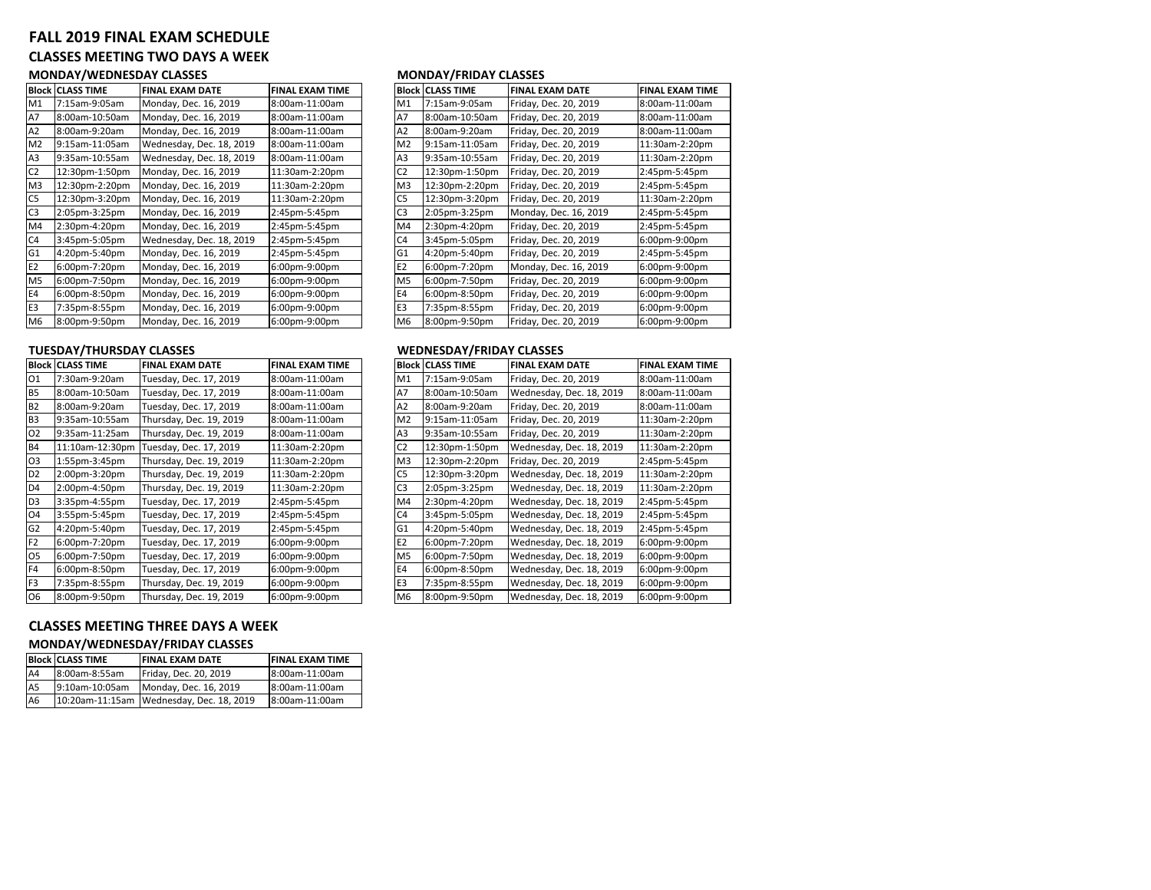# **FALL 2019 FINAL EXAM SCHEDULE CLASSES MEETING TWO DAYS A WEEK MONDAY/WEDNESDAY CLASSES MONDAY/FRIDAY CLASSES**

|                | <b>Block CLASS TIME</b> | <b>FINAL EXAM DATE</b>   | <b>FINAL EXAM TIME</b> |                | <b>Block CLASS TIME</b> | <b>FINAL EXAM DATE</b> | <b>FINAL EXAM TIME</b> |
|----------------|-------------------------|--------------------------|------------------------|----------------|-------------------------|------------------------|------------------------|
| M1             | 7:15am-9:05am           | Monday, Dec. 16, 2019    | 8:00am-11:00am         | M1             | 7:15am-9:05am           | Friday, Dec. 20, 2019  | 8:00am-11:00am         |
| A7             | 8:00am-10:50am          | Monday, Dec. 16, 2019    | 8:00am-11:00am         | A7             | 8:00am-10:50am          | Friday, Dec. 20, 2019  | 8:00am-11:00am         |
| A <sub>2</sub> | 8:00am-9:20am           | Monday, Dec. 16, 2019    | 8:00am-11:00am         | A <sub>2</sub> | 8:00am-9:20am           | Friday, Dec. 20, 2019  | 8:00am-11:00am         |
| M <sub>2</sub> | 9:15am-11:05am          | Wednesday, Dec. 18, 2019 | 8:00am-11:00am         | M <sub>2</sub> | 9:15am-11:05am          | Friday, Dec. 20, 2019  | 11:30am-2:20pm         |
| A <sub>3</sub> | 9:35am-10:55am          | Wednesday, Dec. 18, 2019 | 8:00am-11:00am         | A <sub>3</sub> | 9:35am-10:55am          | Friday, Dec. 20, 2019  | 11:30am-2:20pm         |
| C <sub>2</sub> | 12:30pm-1:50pm          | Monday, Dec. 16, 2019    | 11:30am-2:20pm         | C <sub>2</sub> | 12:30pm-1:50pm          | Friday, Dec. 20, 2019  | 2:45pm-5:45pm          |
| M <sub>3</sub> | 12:30pm-2:20pm          | Monday, Dec. 16, 2019    | 11:30am-2:20pm         | M <sub>3</sub> | 12:30pm-2:20pm          | Friday, Dec. 20, 2019  | 2:45pm-5:45pm          |
| C <sub>5</sub> | 12:30pm-3:20pm          | Monday, Dec. 16, 2019    | 11:30am-2:20pm         | C <sub>5</sub> | 12:30pm-3:20pm          | Friday, Dec. 20, 2019  | 11:30am-2:20pm         |
| C <sub>3</sub> | 2:05pm-3:25pm           | Monday, Dec. 16, 2019    | 2:45pm-5:45pm          | C <sub>3</sub> | 2:05pm-3:25pm           | Monday, Dec. 16, 2019  | 2:45pm-5:45pm          |
| M4             | 2:30pm-4:20pm           | Monday, Dec. 16, 2019    | 2:45pm-5:45pm          | M4             | 2:30pm-4:20pm           | Friday, Dec. 20, 2019  | 2:45pm-5:45pm          |
| C4             | 3:45pm-5:05pm           | Wednesday, Dec. 18, 2019 | 2:45pm-5:45pm          | C <sub>4</sub> | 3:45pm-5:05pm           | Friday, Dec. 20, 2019  | 6:00pm-9:00pm          |
| G <sub>1</sub> | 4:20pm-5:40pm           | Monday, Dec. 16, 2019    | 2:45pm-5:45pm          | G <sub>1</sub> | 4:20pm-5:40pm           | Friday, Dec. 20, 2019  | 2:45pm-5:45pm          |
| E <sub>2</sub> | 6:00pm-7:20pm           | Monday, Dec. 16, 2019    | 6:00pm-9:00pm          | E <sub>2</sub> | 6:00pm-7:20pm           | Monday, Dec. 16, 2019  | 6:00pm-9:00pm          |
| M <sub>5</sub> | 6:00pm-7:50pm           | Monday, Dec. 16, 2019    | 6:00pm-9:00pm          | M <sub>5</sub> | 6:00pm-7:50pm           | Friday, Dec. 20, 2019  | 6:00pm-9:00pm          |
| E4             | 6:00pm-8:50pm           | Monday, Dec. 16, 2019    | 6:00pm-9:00pm          | E <sub>4</sub> | 6:00pm-8:50pm           | Friday, Dec. 20, 2019  | 6:00pm-9:00pm          |
| E <sub>3</sub> | 7:35pm-8:55pm           | Monday, Dec. 16, 2019    | 6:00pm-9:00pm          | E <sub>3</sub> | 7:35pm-8:55pm           | Friday, Dec. 20, 2019  | 6:00pm-9:00pm          |
| M <sub>6</sub> | 8:00pm-9:50pm           | Monday, Dec. 16, 2019    | 6:00pm-9:00pm          | M <sub>6</sub> | 8:00pm-9:50pm           | Friday, Dec. 20, 2019  | 6:00pm-9:00pm          |

## **TUESDAY/THURSDAY CLASSES WEDNESDAY/FRIDAY CLASSES**

|                | <b>Block CLASS TIME</b> | <b>FINAL EXAM DATE</b>  | <b>FINAL EXAM TIME</b> |                | Block  CLASS TIME | <b>FINAL EXAM DATE</b>   | <b>FINAL EXAM TIME</b> |
|----------------|-------------------------|-------------------------|------------------------|----------------|-------------------|--------------------------|------------------------|
| 01             | 7:30am-9:20am           | Tuesday, Dec. 17, 2019  | 8:00am-11:00am         | M1             | 7:15am-9:05am     | Friday, Dec. 20, 2019    | 8:00am-11:00am         |
| <b>B5</b>      | 8:00am-10:50am          | Tuesday, Dec. 17, 2019  | 8:00am-11:00am         | A7             | 8:00am-10:50am    | Wednesday, Dec. 18, 2019 | 8:00am-11:00am         |
| <b>B2</b>      | 8:00am-9:20am           | Tuesday, Dec. 17, 2019  | 8:00am-11:00am         | A <sub>2</sub> | 8:00am-9:20am     | Friday, Dec. 20, 2019    | 8:00am-11:00am         |
| B <sub>3</sub> | 9:35am-10:55am          | Thursday, Dec. 19, 2019 | 8:00am-11:00am         | M <sub>2</sub> | 9:15am-11:05am    | Friday, Dec. 20, 2019    | 11:30am-2:20pm         |
| 02             | 9:35am-11:25am          | Thursday, Dec. 19, 2019 | 8:00am-11:00am         | A <sub>3</sub> | 9:35am-10:55am    | Friday, Dec. 20, 2019    | 11:30am-2:20pm         |
| <b>B4</b>      | 11:10am-12:30pm         | Tuesday, Dec. 17, 2019  | 11:30am-2:20pm         | C <sub>2</sub> | 12:30pm-1:50pm    | Wednesday, Dec. 18, 2019 | 11:30am-2:20pm         |
| O <sub>3</sub> | 1:55pm-3:45pm           | Thursday, Dec. 19, 2019 | 11:30am-2:20pm         | M <sub>3</sub> | 12:30pm-2:20pm    | Friday, Dec. 20, 2019    | 2:45pm-5:45pm          |
| D <sub>2</sub> | 2:00pm-3:20pm           | Thursday, Dec. 19, 2019 | 11:30am-2:20pm         | C <sub>5</sub> | 12:30pm-3:20pm    | Wednesday, Dec. 18, 2019 | 11:30am-2:20pm         |
| D <sub>4</sub> | 2:00pm-4:50pm           | Thursday, Dec. 19, 2019 | 11:30am-2:20pm         | C <sub>3</sub> | 2:05pm-3:25pm     | Wednesday, Dec. 18, 2019 | 11:30am-2:20pm         |
| D <sub>3</sub> | 3:35pm-4:55pm           | Tuesday, Dec. 17, 2019  | 2:45pm-5:45pm          | M4             | 2:30pm-4:20pm     | Wednesday, Dec. 18, 2019 | 2:45pm-5:45pm          |
| 04             | 3:55pm-5:45pm           | Tuesday, Dec. 17, 2019  | 2:45pm-5:45pm          | C <sub>4</sub> | 3:45pm-5:05pm     | Wednesday, Dec. 18, 2019 | 2:45pm-5:45pm          |
| G <sub>2</sub> | 4:20pm-5:40pm           | Tuesday, Dec. 17, 2019  | 2:45pm-5:45pm          | G <sub>1</sub> | 4:20pm-5:40pm     | Wednesday, Dec. 18, 2019 | 2:45pm-5:45pm          |
| F <sub>2</sub> | 6:00pm-7:20pm           | Tuesday, Dec. 17, 2019  | 6:00pm-9:00pm          | E <sub>2</sub> | 6:00pm-7:20pm     | Wednesday, Dec. 18, 2019 | 6:00pm-9:00pm          |
| O <sub>5</sub> | 6:00pm-7:50pm           | Tuesday, Dec. 17, 2019  | 6:00pm-9:00pm          | M <sub>5</sub> | 6:00pm-7:50pm     | Wednesday, Dec. 18, 2019 | 6:00pm-9:00pm          |
| F <sub>4</sub> | 6:00pm-8:50pm           | Tuesday, Dec. 17, 2019  | 6:00pm-9:00pm          | E <sub>4</sub> | 6:00pm-8:50pm     | Wednesday, Dec. 18, 2019 | 6:00pm-9:00pm          |
| F <sub>3</sub> | 7:35pm-8:55pm           | Thursday, Dec. 19, 2019 | 6:00pm-9:00pm          | E <sub>3</sub> | 7:35pm-8:55pm     | Wednesday, Dec. 18, 2019 | 6:00pm-9:00pm          |
| O6             | 8:00pm-9:50pm           | Thursday, Dec. 19, 2019 | 6:00pm-9:00pm          | M <sub>6</sub> | 8:00pm-9:50pm     | Wednesday, Dec. 18, 2019 | 6:00pm-9:00pm          |

# **CLASSES MEETING THREE DAYS A WEEK**

### **MONDAY/WEDNESDAY/FRIDAY CLASSES**

|                | <b>Block CLASS TIME</b> | <b>FINAL EXAM DATE</b>                   | <b>FINAL EXAM TIME</b> |
|----------------|-------------------------|------------------------------------------|------------------------|
| A4             | 8:00am-8:55am           | Friday, Dec. 20, 2019                    | 8:00am-11:00am         |
| A <sub>5</sub> | 9:10am-10:05am          | Monday, Dec. 16, 2019                    | 8:00am-11:00am         |
| A <sub>6</sub> |                         | 10:20am-11:15am Wednesday, Dec. 18, 2019 | 8:00am-11:00am         |

|                | Block  CLASS TIME | <b>FINAL EXAM DATE</b>   | <b>FINAL EXAM TIME</b> |                | <b>Block CLASS TIME</b> | <b>FINAL EXAM DATE</b> | <b>FINAL EXAM TIME</b> |
|----------------|-------------------|--------------------------|------------------------|----------------|-------------------------|------------------------|------------------------|
| Μ1             | 7:15am-9:05am     | Monday, Dec. 16, 2019    | 8:00am-11:00am         | M1             | 7:15am-9:05am           | Friday, Dec. 20, 2019  | 8:00am-11:00am         |
| А7             | 8:00am-10:50am    | Monday, Dec. 16, 2019    | 8:00am-11:00am         | <b>A7</b>      | 8:00am-10:50am          | Friday, Dec. 20, 2019  | 8:00am-11:00am         |
| А2             | 8:00am-9:20am     | Monday, Dec. 16, 2019    | 8:00am-11:00am         | A <sub>2</sub> | 8:00am-9:20am           | Friday, Dec. 20, 2019  | 8:00am-11:00am         |
| M2             | 9:15am-11:05am    | Wednesday, Dec. 18, 2019 | 8:00am-11:00am         | M <sub>2</sub> | 9:15am-11:05am          | Friday, Dec. 20, 2019  | 11:30am-2:20pm         |
| A3             | 9:35am-10:55am    | Wednesday, Dec. 18, 2019 | 8:00am-11:00am         | A <sub>3</sub> | 9:35am-10:55am          | Friday, Dec. 20, 2019  | 11:30am-2:20pm         |
| C <sub>2</sub> | 12:30pm-1:50pm    | Monday, Dec. 16, 2019    | 11:30am-2:20pm         | C <sub>2</sub> | 12:30pm-1:50pm          | Friday, Dec. 20, 2019  | 2:45pm-5:45pm          |
| M3             | 12:30pm-2:20pm    | Monday, Dec. 16, 2019    | 11:30am-2:20pm         | M <sub>3</sub> | 12:30pm-2:20pm          | Friday, Dec. 20, 2019  | 2:45pm-5:45pm          |
| C5             | 12:30pm-3:20pm    | Monday, Dec. 16, 2019    | 11:30am-2:20pm         | C <sub>5</sub> | 12:30pm-3:20pm          | Friday, Dec. 20, 2019  | 11:30am-2:20pm         |
| C3             | 2:05pm-3:25pm     | Monday, Dec. 16, 2019    | 2:45pm-5:45pm          | C <sub>3</sub> | 2:05pm-3:25pm           | Monday, Dec. 16, 2019  | 2:45pm-5:45pm          |
| M4             | 2:30pm-4:20pm     | Monday, Dec. 16, 2019    | 2:45pm-5:45pm          | M4             | 2:30pm-4:20pm           | Friday, Dec. 20, 2019  | 2:45pm-5:45pm          |
| C4             | 3:45pm-5:05pm     | Wednesday, Dec. 18, 2019 | 2:45pm-5:45pm          | C <sub>4</sub> | 3:45pm-5:05pm           | Friday, Dec. 20, 2019  | 6:00pm-9:00pm          |
| G1             | 4:20pm-5:40pm     | Monday, Dec. 16, 2019    | 2:45pm-5:45pm          | G <sub>1</sub> | 4:20pm-5:40pm           | Friday, Dec. 20, 2019  | 2:45pm-5:45pm          |
| E2             | 6:00pm-7:20pm     | Monday, Dec. 16, 2019    | 6:00pm-9:00pm          | E <sub>2</sub> | 6:00pm-7:20pm           | Monday, Dec. 16, 2019  | 6:00pm-9:00pm          |
| M5             | 6:00pm-7:50pm     | Monday, Dec. 16, 2019    | 6:00pm-9:00pm          | M <sub>5</sub> | 6:00pm-7:50pm           | Friday, Dec. 20, 2019  | 6:00pm-9:00pm          |
| Ε4             | 6:00pm-8:50pm     | Monday, Dec. 16, 2019    | 6:00pm-9:00pm          | E4             | 6:00pm-8:50pm           | Friday, Dec. 20, 2019  | 6:00pm-9:00pm          |
| E3             | 7:35pm-8:55pm     | Monday, Dec. 16, 2019    | 6:00pm-9:00pm          | E <sub>3</sub> | 7:35pm-8:55pm           | Friday, Dec. 20, 2019  | 6:00pm-9:00pm          |
| М6             | 8:00pm-9:50pm     | Monday, Dec. 16, 2019    | 6:00pm-9:00pm          | M <sub>6</sub> | 8:00pm-9:50pm           | Friday, Dec. 20, 2019  | 6:00pm-9:00pm          |
|                |                   |                          |                        |                |                         |                        |                        |

| <b>Block</b>   | <b>CLASS TIME</b> | <b>FINAL EXAM DATE</b>   | <b>FINAL EXAM TIME</b> |
|----------------|-------------------|--------------------------|------------------------|
| M1             | 7:15am-9:05am     | Friday, Dec. 20, 2019    | 8:00am-11:00am         |
| Α7             | 8:00am-10:50am    | Wednesday, Dec. 18, 2019 | 8:00am-11:00am         |
| A2             | 8:00am-9:20am     | Friday, Dec. 20, 2019    | 8:00am-11:00am         |
| M <sub>2</sub> | 9:15am-11:05am    | Friday, Dec. 20, 2019    | 11:30am-2:20pm         |
| A3             | 9:35am-10:55am    | Friday, Dec. 20, 2019    | 11:30am-2:20pm         |
| C <sub>2</sub> | 12:30pm-1:50pm    | Wednesday, Dec. 18, 2019 | 11:30am-2:20pm         |
| M3             | 12:30pm-2:20pm    | Friday, Dec. 20, 2019    | 2:45pm-5:45pm          |
| C5             | 12:30pm-3:20pm    | Wednesday, Dec. 18, 2019 | 11:30am-2:20pm         |
| C3             | 2:05pm-3:25pm     | Wednesday, Dec. 18, 2019 | 11:30am-2:20pm         |
| M4             | 2:30pm-4:20pm     | Wednesday, Dec. 18, 2019 | 2:45pm-5:45pm          |
| C4             | 3:45pm-5:05pm     | Wednesday, Dec. 18, 2019 | 2:45pm-5:45pm          |
| G1             | 4:20pm-5:40pm     | Wednesday, Dec. 18, 2019 | 2:45pm-5:45pm          |
| E2             | 6:00pm-7:20pm     | Wednesday, Dec. 18, 2019 | 6:00pm-9:00pm          |
| M <sub>5</sub> | 6:00pm-7:50pm     | Wednesday, Dec. 18, 2019 | 6:00pm-9:00pm          |
| E4             | 6:00pm-8:50pm     | Wednesday, Dec. 18, 2019 | 6:00pm-9:00pm          |
| E3             | 7:35pm-8:55pm     | Wednesday, Dec. 18, 2019 | 6:00pm-9:00pm          |
| M6             | 8:00pm-9:50pm     | Wednesday, Dec. 18, 2019 | 6:00pm-9:00pm          |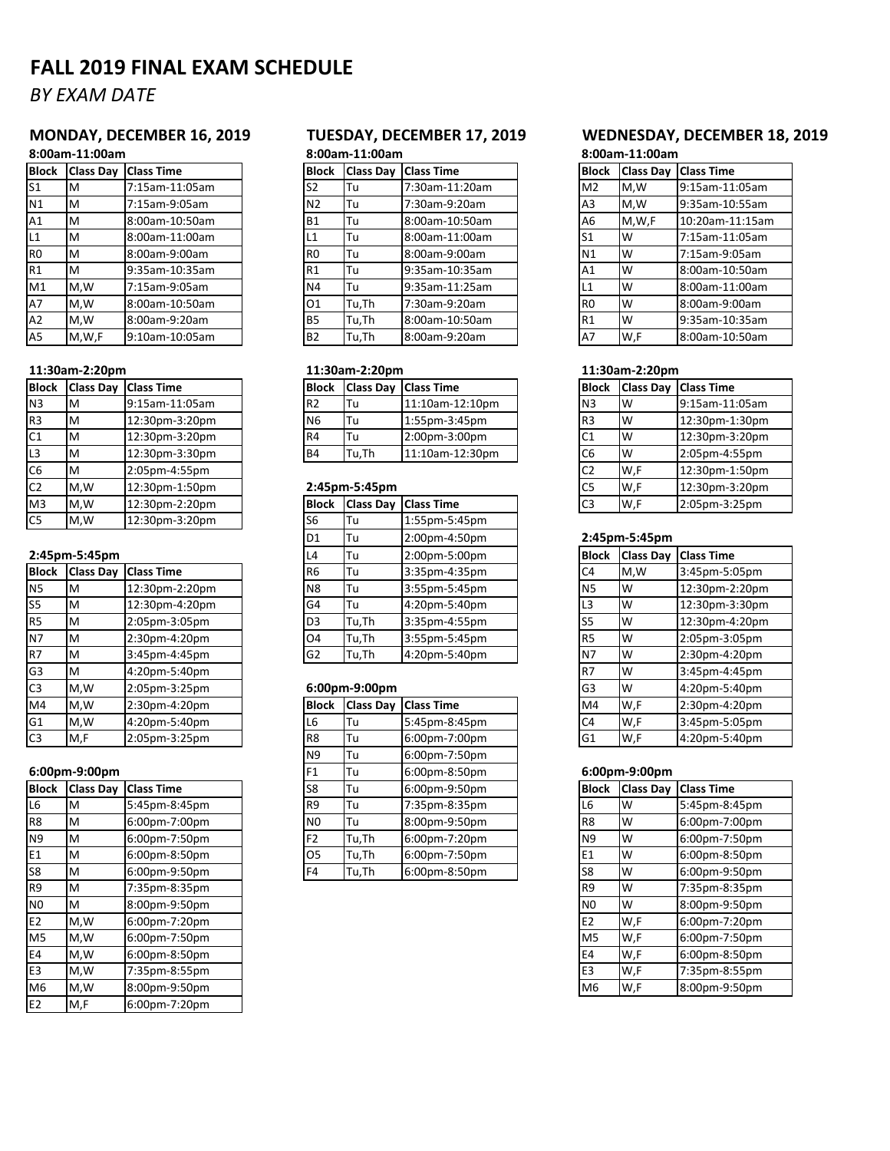# **FALL 2019 FINAL EXAM SCHEDULE**

# *BY EXAM DATE*

# **8:00am‐11:00am 8:00am‐11:00am 8:00am‐11:00am**

| <b>Block</b>   | <b>Class Day</b> | <b>Class Time</b> |
|----------------|------------------|-------------------|
| S <sub>1</sub> | M                | 7:15am-11:05am    |
| N1             | M                | 7:15am-9:05am     |
| A1             | M                | 8:00am-10:50am    |
| L1             | М                | 8:00am-11:00am    |
| R <sub>0</sub> | M                | 8:00am-9:00am     |
| R1             | M                | 9:35am-10:35am    |
| M1             | M.W              | 7:15am-9:05am     |
| A7             | M.W              | 8:00am-10:50am    |
| A2             | M.W              | 8:00am-9:20am     |
| A5             | M,W,F            | 9:10am-10:05am    |

| <b>Block</b>   |     | <b>IClass Day Class Time</b> | <b>Block</b>   | <b>Class Day</b> | <b>Class Time</b> | <b>Block</b>   |          | <b>Class Day Class Time</b> |
|----------------|-----|------------------------------|----------------|------------------|-------------------|----------------|----------|-----------------------------|
| N <sub>3</sub> | Iм  | 9:15am-11:05am               | R <sub>2</sub> | <b>ITu</b>       | 11:10am-12:10pm   | N <sub>3</sub> | ١w       | 9:15am-11:05am              |
| R <sub>3</sub> | IΜ  | 12:30pm-3:20pm               | N <sub>6</sub> | lTu              | 1:55pm-3:45pm     | IR3            | ١w       | 12:30pm-1:30pm              |
| C <sub>1</sub> | IΜ  | 12:30pm-3:20pm               | R4             | lTu              | 2:00pm-3:00pm     | C1             | ١w       | 12:30pm-3:20pm              |
| L <sub>3</sub> | ΙM  | 12:30pm-3:30pm               | B <sub>4</sub> | Tu,Th            | 11:10am-12:30pm   | C <sub>6</sub> | <b>W</b> | 2:05pm-4:55pm               |
| C <sub>6</sub> | ΙM  | 2:05pm-4:55pm                |                |                  |                   | C <sub>2</sub> | W,F      | 12:30pm-1:50pm              |
| C <sub>2</sub> | M.W | 12:30pm-1:50pm               |                | 2:45pm-5:45pm    |                   | C <sub>5</sub> | W,F      | 12:30pm-3:20pm              |
| M <sub>3</sub> | M.W | 12:30pm-2:20pm               | Block          | <b>Class Dav</b> | <b>Class Time</b> | C <sub>3</sub> | W,F      | 2:05pm-3:25pm               |
| C <sub>5</sub> | M.W | 12:30pm-3:20pm               | S6             | lTu              | 1:55pm-5:45pm     |                |          |                             |

## **2:45pm‐5:45pm** L4 Tu 2:00pm‐5:00pm **Block Class Day Class Time**

| <b>Block</b>   |     | <b>Class Day Class Time</b> | R <sub>6</sub> | 'Tu                  | 3:35pm-4:35pm     | C <sub>4</sub> | M,W | 3:45pm-5:05pm  |
|----------------|-----|-----------------------------|----------------|----------------------|-------------------|----------------|-----|----------------|
| N <sub>5</sub> | ΙM  | 12:30pm-2:20pm              | N <sub>8</sub> | 'Tu                  | 3:55pm-5:45pm     | N <sub>5</sub> | W   | 12:30pm-2:20pr |
| S <sub>5</sub> | ΙM  | 12:30pm-4:20pm              | G4             | Tu                   | 4:20pm-5:40pm     | -3             | W   | 12:30pm-3:30pr |
| R <sub>5</sub> | ΙM  | 2:05pm-3:05pm               | D <sub>3</sub> | Tu,Th                | 3:35pm-4:55pm     |                | W   | 12:30pm-4:20pr |
| N <sub>7</sub> | Iм  | 2:30pm-4:20pm               | O4             | Tu,Th                | 3:55pm-5:45pm     | IR5            | W   | 2:05pm-3:05pm  |
| R7             | ΙM  | 3:45pm-4:45pm               | G <sub>2</sub> | Tu,Th                | 4:20pm-5:40pm     | N7             | W   | 2:30pm-4:20pm  |
| G <sub>3</sub> | ΙM  | 4:20pm-5:40pm               |                |                      |                   |                | W   | 3:45pm-4:45pm  |
| C <sub>3</sub> | M,W | 2:05pm-3:25pm               |                | $6:00$ pm- $9:00$ pm |                   | G <sub>3</sub> | W   | 4:20pm-5:40pm  |
| M4             | M.W | 2:30pm-4:20pm               | Block          | <b>Class Day</b>     | <b>Class Time</b> | M4             | W,F | 2:30pm-4:20pm  |
| G1             | M,W | 4:20pm-5:40pm               | L6             | Tu                   | 5:45pm-8:45pm     | C4             | W,F | 3:45pm-5:05pm  |
| C <sub>3</sub> | M,F | 2:05pm-3:25pm               | R <sub>8</sub> | 'Tu                  | 6:00pm-7:00pm     | G1             | W,F | 4:20pm-5:40pm  |

| <b>Block</b>   |     | Class Day Class Time | S8 | Tu    | 6:00pm-9:50pm | <b>Block</b>   | <b>Class Day</b> | <b>Class Time</b> |
|----------------|-----|----------------------|----|-------|---------------|----------------|------------------|-------------------|
| L6             | м   | 5:45pm-8:45pm        | R9 | Tu    | 7:35pm-8:35pm | L6             | w                | 5:45pm-8:45pm     |
| R <sub>8</sub> | м   | 6:00pm-7:00pm        | N0 | Tu    | 8:00pm-9:50pm | R <sub>8</sub> | W                | 6:00pm-7:00pm     |
| N <sub>9</sub> | M   | 6:00pm-7:50pm        | F2 | Tu,Th | 6:00pm-7:20pm | N9             | W                | 6:00pm-7:50pm     |
| E <sub>1</sub> | м   | 6:00pm-8:50pm        | 05 | Tu,Th | 6:00pm-7:50pm | Ε1             | W                | 6:00pm-8:50pm     |
| S8             | M   | 6:00pm-9:50pm        | F4 | Tu,Th | 6:00pm-8:50pm | S8             | W                | 6:00pm-9:50pm     |
| R <sub>9</sub> | м   | 7:35pm-8:35pm        |    |       |               | R <sub>9</sub> | w                | 7:35pm-8:35pm     |
| N <sub>0</sub> | М   | 8:00pm-9:50pm        |    |       |               | N <sub>0</sub> | W                | 8:00pm-9:50pm     |
| E <sub>2</sub> | M,W | 6:00pm-7:20pm        |    |       |               | E <sub>2</sub> | W,F              | 6:00pm-7:20pm     |
| M5             | M,W | 6:00pm-7:50pm        |    |       |               | M <sub>5</sub> | W,F              | 6:00pm-7:50pm     |
| E4             | M,W | 6:00pm-8:50pm        |    |       |               | E4             | W,F              | 6:00pm-8:50pm     |
| E <sub>3</sub> | M,W | 7:35pm-8:55pm        |    |       |               | E3             | W,F              | 7:35pm-8:55pm     |
| M <sub>6</sub> | M,W | 8:00pm-9:50pm        |    |       |               | M6             | W,F              | 8:00pm-9:50pm     |
| E <sub>2</sub> | M,F | 6:00pm-7:20pm        |    |       |               |                |                  |                   |

| <b>Block</b> | <b>Class Dav</b> | <b>Class Time</b> | <b>Block</b>   | <b>Class Day</b> | <b>IClass Time</b> | <b>Block</b>   | <b>Class Day</b> | <b>Class Time</b> |
|--------------|------------------|-------------------|----------------|------------------|--------------------|----------------|------------------|-------------------|
| S1           | ΙM               | 7:15am-11:05am    | S2             | lTu.             | 7:30am-11:20am     | M <sub>2</sub> | M.W              | 9:15am-11:05am    |
| N1           | M                | 7:15am-9:05am     | N <sub>2</sub> | lTu              | 7:30am-9:20am      | A <sub>3</sub> | M.W              | 9:35am-10:55am    |
| А1           | ΙM               | 8:00am-10:50am    | <b>B1</b>      | lTu              | 8:00am-10:50am     | A <sub>6</sub> | M,W,F            | 10:20am-11:15am   |
| L1           | M                | 8:00am-11:00am    | L1             | lTu              | 8:00am-11:00am     | S <sub>1</sub> | W                | 7:15am-11:05am    |
| R0           | M                | 8:00am-9:00am     | R <sub>0</sub> | lTu              | 8:00am-9:00am      | N <sub>1</sub> | W                | 7:15am-9:05am     |
| R1           | M                | 9:35am-10:35am    | R1             | lTu              | 9:35am-10:35am     | A <sub>1</sub> | W                | 8:00am-10:50am    |
| M1           | M.W              | 7:15am-9:05am     | N4             | lTu              | 9:35am-11:25am     | L1             | W                | 8:00am-11:00am    |
| A7           | M.W              | 8:00am-10:50am    | 01             | Tu,Th            | 7:30am-9:20am      | R <sub>0</sub> | W                | 8:00am-9:00am     |
| A2           | M.W              | 8:00am-9:20am     | <b>B5</b>      | Tu,Th            | 8:00am-10:50am     | <b>R1</b>      | W                | 9:35am-10:35am    |
| A5           | M,W,F            | 9:10am-10:05am    | <b>B2</b>      | Tu,Th            | 8:00am-9:20am      | A7             | W,F              | 8:00am-10:50am    |

|    |    | <b>Block Class Day Class Time</b> | <b>IBlock</b>  |       | <b>Class Day Class Time</b> |                 |    | <b>Block Class Day Class Time</b> |
|----|----|-----------------------------------|----------------|-------|-----------------------------|-----------------|----|-----------------------------------|
| N3 | ΙM | 9:15am-11:05am                    | R <sub>2</sub> | lTu   | 11:10am-12:10pm             | IN <sub>3</sub> | Iw | 9:15am-11:05am                    |
| R3 | M  | 12:30pm-3:20pm                    | N <sub>6</sub> | lTu   | 1:55pm-3:45pm               | R <sub>3</sub>  | I٧ | 12:30pm-1:30pm                    |
| C1 | M  | 12:30pm-3:20pm                    | R <sub>4</sub> | lTu   | 2:00pm-3:00pm               | IC1             | Iw | 12:30pm-3:20pm                    |
| L3 | M  | 12:30pm-3:30pm                    | B <sub>4</sub> | Tu.Th | 11:10am-12:30pm             | C <sub>6</sub>  | Iw | 2:05pm-4:55pm                     |

## C2 M,W 12:30pm‐1:50pm **2:45pm‐5:45pm** C5 W,F 12:30pm‐3:20pm

| M3        | M.W           | 12:30pm-2:20pm                    | <b>Block</b>   |           | <b>Class Day Class Time</b> | C <sub>3</sub>  | W,F           | 2:05pm-3:25pm               |
|-----------|---------------|-----------------------------------|----------------|-----------|-----------------------------|-----------------|---------------|-----------------------------|
| C5        | M,W           | 12:30pm-3:20pm                    | S6             | lTu.      | 1:55pm-5:45pm               |                 |               |                             |
|           |               |                                   | D <sub>1</sub> | <b>Tu</b> | 2:00pm-4:50pm               |                 | 2:45pm-5:45pm |                             |
|           | 2:45pm-5:45pm |                                   | L4             | lTu       | 2:00pm-5:00pm               | <b>Block</b>    |               | <b>Class Day Class Time</b> |
|           |               | <b>Block Class Day Class Time</b> | R <sub>6</sub> | lTu       | 3:35pm-4:35pm               | C <sub>4</sub>  | M.W           | 3:45pm-5:05pm               |
| <b>N5</b> | M             | 12:30pm-2:20pm                    | N <sub>8</sub> | Tu        | 3:55pm-5:45pm               | <b>N5</b>       | IW            | 12:30pm-2:20pm              |
| S5        | M             | 12:30pm-4:20pm                    | G <sub>4</sub> | lTu       | 4:20pm-5:40pm               | L3              | IW            | 12:30pm-3:30pm              |
| R5        | M             | 2:05pm-3:05pm                     | D <sub>3</sub> | Tu,Th     | 3:35pm-4:55pm               | S <sub>5</sub>  | Iw            | 12:30pm-4:20pm              |
| N7        | M             | 2:30pm-4:20pm                     | O <sub>4</sub> | Tu,Th     | 3:55pm-5:45pm               | R <sub>5</sub>  | <b>W</b>      | 2:05pm-3:05pm               |
| R7        | M             | 3:45pm-4:45pm                     | G <sub>2</sub> | Tu,Th     | 4:20pm-5:40pm               | IN <sub>7</sub> | IW            | 2:30pm-4:20pm               |

## 6:00pm-9:00pm

| M4             | M,W                               | 2:30pm-4:20pm     |                | <b>Block</b>   |       | Class Day   Class Time | M4             | W,F              | 2:30pm-4:20pm     |
|----------------|-----------------------------------|-------------------|----------------|----------------|-------|------------------------|----------------|------------------|-------------------|
| G1             | M,W                               | 4:20pm-5:40pm     | L6             |                | 'Tu   | 5:45pm-8:45pm          | C4             | W,F              | 3:45pm-5:05pm     |
| C3             | M,F                               | 2:05pm-3:25pm     | R8             |                | lTu   | 6:00pm-7:00pm          | G <sub>1</sub> | W,F              | 4:20pm-5:40pm     |
|                |                                   |                   |                | N9             | Tu    | 6:00pm-7:50pm          |                |                  |                   |
|                | $6:00 \text{pm} - 9:00 \text{pm}$ |                   | F <sub>1</sub> |                | Tu    | 6:00pm-8:50pm          |                | 6:00pm-9:00pm    |                   |
| <b>Block</b>   | <b>Class Day</b>                  | <b>Class Time</b> | S8             |                | 'Tu   | 6:00pm-9:50pm          | <b>Block</b>   | <b>Class Day</b> | <b>Class Time</b> |
| L6             | IΜ                                | 5:45pm-8:45pm     | R <sub>9</sub> |                | lTu   | 7:35pm-8:35pm          | -6             | W                | 5:45pm-8:45pm     |
| R8             | IM.                               | 6:00pm-7:00pm     |                | N0             | Tu    | 8:00pm-9:50pm          | R8             | W                | 6:00pm-7:00pm     |
| N <sub>9</sub> | ΙM                                | 6:00pm-7:50pm     | F <sub>2</sub> |                | Tu,Th | 6:00pm-7:20pm          | N <sub>9</sub> | W                | 6:00pm-7:50pm     |
| E1             | IΜ                                | 6:00pm-8:50pm     |                | O <sub>5</sub> | Tu,Th | 6:00pm-7:50pm          |                | W                | 6:00pm-8:50pm     |
| S8             | ΙM                                | 6:00pm-9:50pm     | F <sub>4</sub> |                | Tu,Th | 6:00pm-8:50pm          | S8             | W                | 6:00pm-9:50pm     |
|                |                                   |                   |                |                |       |                        |                |                  |                   |

# **MONDAY, DECEMBER 16, 2019 TUESDAY, DECEMBER 17, 2019 WEDNESDAY, DECEMBER 18, 2019**

| <b>Block</b>   | <b>Class Day</b> | <b>Class Time</b> |
|----------------|------------------|-------------------|
| M <sub>2</sub> | M.W              | 9:15am-11:05am    |
| A <sub>3</sub> | M,W              | 9:35am-10:55am    |
| A <sub>6</sub> | M, W, F          | 10:20am-11:15am   |
| S <sub>1</sub> | W                | 7:15am-11:05am    |
| N <sub>1</sub> | W                | 7:15am-9:05am     |
| A1             | W                | 8:00am-10:50am    |
| L1             | W                | 8:00am-11:00am    |
| R <sub>0</sub> | W                | 8:00am-9:00am     |
| R1             | W                | 9:35am-10:35am    |
| A7             | W,F              | 8:00am-10:50am    |

# **11:30am‐2:20pm 11:30am‐2:20pm 11:30am‐2:20pm**

| <b>Block</b>   | Class Day | <b>Class Time</b> |
|----------------|-----------|-------------------|
| N <sub>3</sub> | W         | 9:15am-11:05am    |
| R <sub>3</sub> | W         | 12:30pm-1:30pm    |
| C <sub>1</sub> | w         | 12:30pm-3:20pm    |
| C <sub>6</sub> | W         | 2:05pm-4:55pm     |
| C <sub>2</sub> | W,F       | 12:30pm-1:50pm    |
| C <sub>5</sub> | W,F       | 12:30pm-3:20pm    |
| C <sub>3</sub> |           | 2:05pm-3:25pm     |

# D1 Tu 2:00pm‐4:50pm **2:45pm‐5:45pm**

| <b>Block</b>   | <b>Class Day</b> | <b>Class Time</b> |
|----------------|------------------|-------------------|
| C4             | M, W             | 3:45pm-5:05pm     |
| <b>N5</b>      | W                | 12:30pm-2:20pm    |
| L3             | W                | 12:30pm-3:30pm    |
| <b>S5</b>      | W                | 12:30pm-4:20pm    |
| R <sub>5</sub> | w                | 2:05pm-3:05pm     |
| <b>N7</b>      | w                | 2:30pm-4:20pm     |
| R7             | w                | 3:45pm-4:45pm     |
| G <sub>3</sub> | W                | 4:20pm-5:40pm     |
| M4             | W,F              | 2:30pm-4:20pm     |
| C <sub>4</sub> | W,F              | 3:45pm-5:05pm     |
| G1             | W,F              | 4:20pm-5:40pm     |

| <b>Block</b>   | <b>Class Day</b> | <b>Class Time</b> |
|----------------|------------------|-------------------|
| L <sub>6</sub> | W                | 5:45pm-8:45pm     |
| R <sub>8</sub> | W                | 6:00pm-7:00pm     |
| N <sub>9</sub> | W                | 6:00pm-7:50pm     |
| E1             | W                | 6:00pm-8:50pm     |
| S <sub>8</sub> | W                | 6:00pm-9:50pm     |
| R <sub>9</sub> | W                | 7:35pm-8:35pm     |
| N <sub>0</sub> | W                | 8:00pm-9:50pm     |
| E2             | W,F              | 6:00pm-7:20pm     |
| M <sub>5</sub> | W,F              | 6:00pm-7:50pm     |
| E <sub>4</sub> | W,F              | 6:00pm-8:50pm     |
| E <sub>3</sub> | W,F              | 7:35pm-8:55pm     |
| M <sub>6</sub> | W,F              | 8:00pm-9:50pm     |